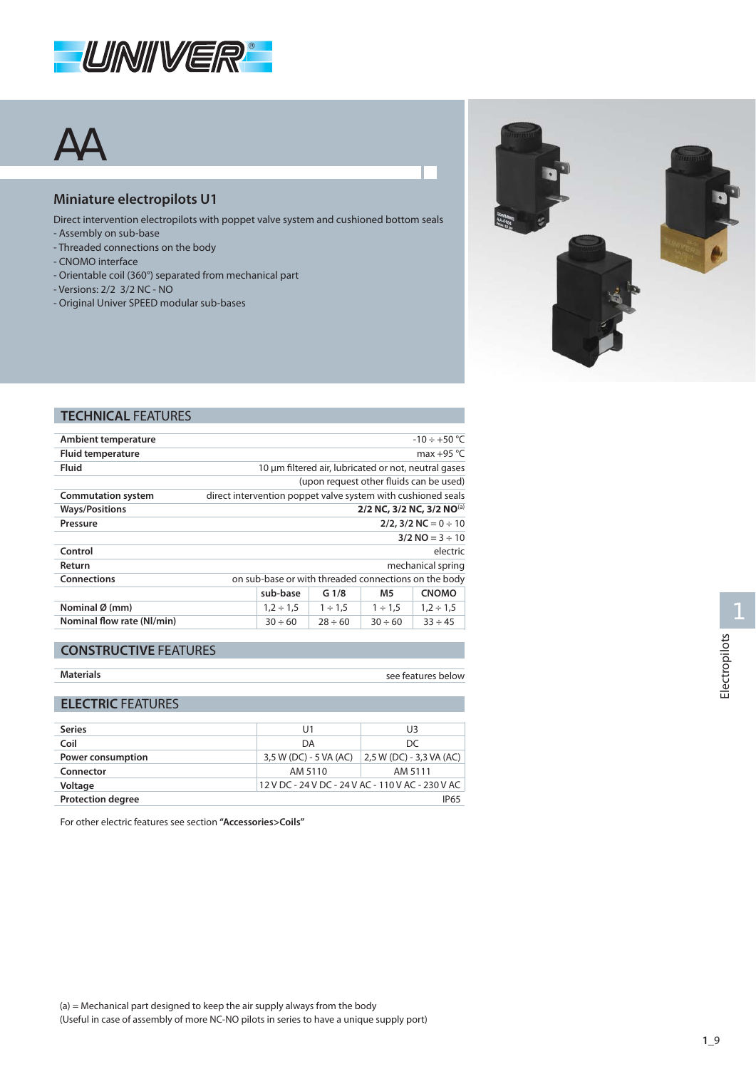

# AA

### **Miniature electropilots U1**

- Direct intervention electropilots with poppet valve system and cushioned bottom seals
- Assembly on sub-base
- Threaded connections on the body
- CNOMO interface
- Orientable coil (360°) separated from mechanical part
- Versions: 2/2 3/2 NC NO
- Original Univer SPEED modular sub-bases



### **TECHNICAL** FEATURES

| $-10 \div +50$ °C                                            |                |                  |              |                |
|--------------------------------------------------------------|----------------|------------------|--------------|----------------|
| max +95 $°C$                                                 |                |                  |              |                |
| 10 um filtered air, lubricated or not, neutral gases         |                |                  |              |                |
| (upon request other fluids can be used)                      |                |                  |              |                |
| direct intervention poppet valve system with cushioned seals |                |                  |              |                |
| 2/2 NC, 3/2 NC, 3/2 NO(a)                                    |                |                  |              |                |
| $2/2$ , $3/2$ NC = 0 $\div$ 10                               |                |                  |              |                |
| $3/2$ NO = 3 $\div$ 10                                       |                |                  |              |                |
| electric                                                     |                |                  |              |                |
| mechanical spring                                            |                |                  |              |                |
| on sub-base or with threaded connections on the body         |                |                  |              |                |
|                                                              | sub-base       | G <sub>1/8</sub> | M5           | <b>CNOMO</b>   |
|                                                              | $1,2 \div 1,5$ | $1 \div 1.5$     | $1 \div 1.5$ | $1,2 \div 1,5$ |
|                                                              | $30 \div 60$   | $28 \div 60$     | $30 \div 60$ | $33 \div 45$   |
|                                                              |                |                  |              |                |

### **CONSTRUCTIVE** FEATURES

| <b>Materials</b> |
|------------------|
|------------------|

see features below

## **ELECTRIC** FEATURES

| <b>Series</b>                           | U1                     | U3                                                |  |
|-----------------------------------------|------------------------|---------------------------------------------------|--|
| Coil                                    | DA                     | DC                                                |  |
| Power consumption                       | 3,5 W (DC) - 5 VA (AC) | 2,5 W (DC) - 3,3 VA (AC)                          |  |
| Connector                               | AM 5110                | AM 5111                                           |  |
| Voltage                                 |                        | 12 V DC - 24 V DC - 24 V AC - 110 V AC - 230 V AC |  |
| <b>Protection degree</b><br><b>IP65</b> |                        |                                                   |  |

For other electric features see section **"Accessories>Coils"**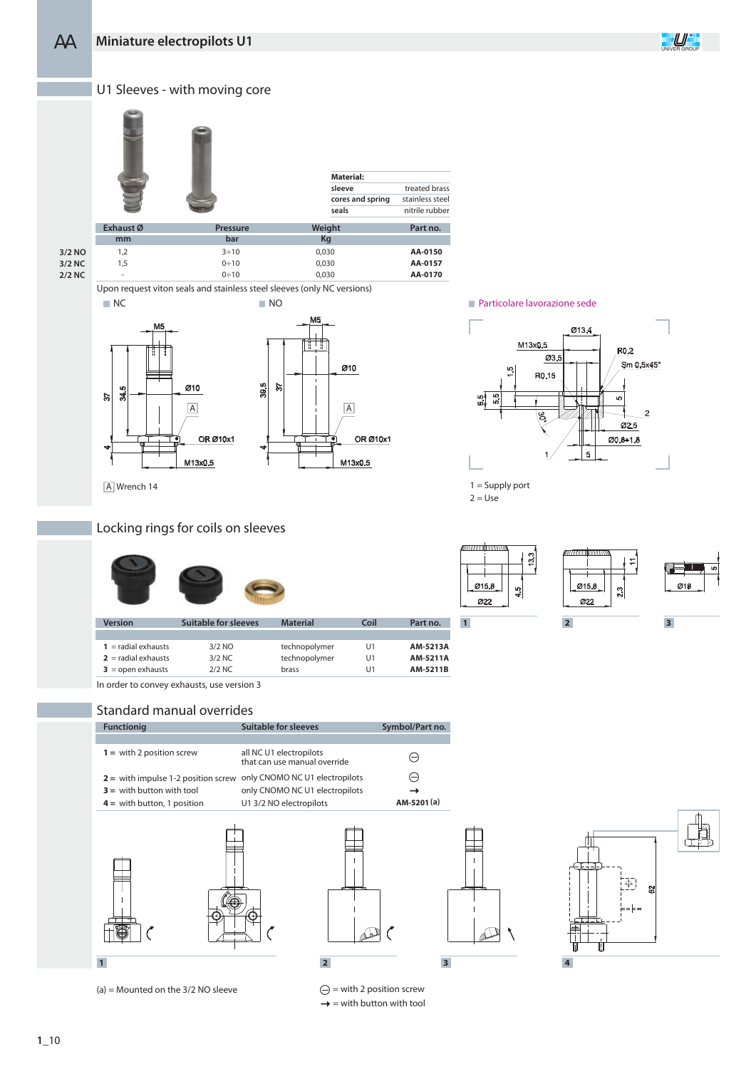

**3/2 NC 2/2 NC**

Upon request viton seals and stainless steel sleeves (only NC versions)  $0 \div 10$ NC NO Particolare lavorazione sede





0,030

A Wrench 14

-

### Locking rings for coils on sleeves

| <b>Version</b>        | <b>Suitable for sleeves</b> | <b>Material</b> | Coil | Part no. |
|-----------------------|-----------------------------|-----------------|------|----------|
|                       |                             |                 |      |          |
| $1 =$ radial exhausts | 3/2 NO                      | technopolymer   | U1   | AM-5213A |
| $2 =$ radial exhausts | $3/2$ NC                    | technopolymer   | U1   | AM-5211A |
| $3 =$ open exhausts   | $2/2$ NC                    | brass           | U1   | AM-5211B |

In order to convey exhausts, use version 3

### Standard manual overrides

| <b>Functionig</b>                                                    | Suitable for sleeves                                    | Symbol/Part no. |
|----------------------------------------------------------------------|---------------------------------------------------------|-----------------|
|                                                                      |                                                         |                 |
| $1 =$ with 2 position screw                                          | all NC U1 electropilots<br>that can use manual override |                 |
| $2$ = with impulse 1-2 position screw only CNOMO NC U1 electropilots |                                                         |                 |
| $3 =$ with button with tool                                          | only CNOMO NC U1 electropilots                          |                 |
| $4 =$ with button, 1 position                                        | U1 3/2 NO electropilots                                 | AM-5201(a)      |
|                                                                      |                                                         |                 |



(a) = Mounted on the 3/2 NO sleeve  $\ominus$  = with 2 position screw



 $\rightarrow$  = with button with tool





 $2 = Use$ 



 $\overline{5}$ 

Ø13.4

**R0.2** 

Ø2.5

 $Ø0.8 + 1.8$ 

Sm 0.5x45



M13x0.5

Ø3.

R0.15

**AA-0170**





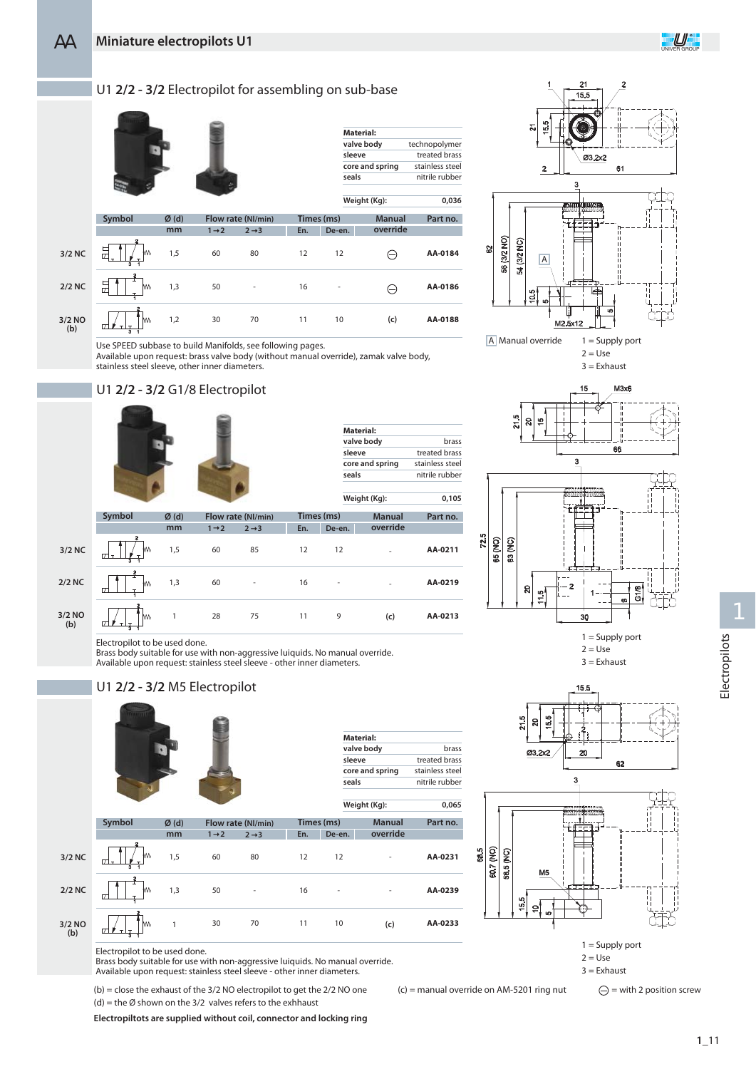### U1 **2/2 - 3/2** Electropilot for assembling on sub-base



Use SPEED subbase to build Manifolds, see following pages.

Available upon request: brass valve body (without manual override), zamak valve body, stainless steel sleeve, other inner diameters.

### U1 **2/2 - 3/2** G1/8 Electropilot



| hrass           |
|-----------------|
| treated brass   |
| stainless steel |
| nitrile rubber  |
| 0.105           |
|                 |

**Material: valve body sleeve**

**seals**

12

**En. De-en. Times (ms)**

-

10

**Weight (Kg):**

-

-

**AA-0211 AA-0219 AA-0213** Symbol  $\emptyset$  (d) Flow rate (Nl/min) Times (ms) Manual Part no. 85 - 75 60  $60$ 28 1,5 1,3 1 **2/2 NC 3/2 NO (b) 3/2 NC De-en.** 12 16 11 12 - 9 **En. Times (ms)** - - **(c) Manual override**

Brass body suitable for use with non-aggressive luiquids. No manual override. Available upon request: stainless steel sleeve - other inner diameters.

 $\overline{\mathbf{z}}$ -2 3 56 (3/2 NO)  $\widehat{2}$ 54 (3/2 h A A Manual override  $1 =$  Supply port





 $2 = Use$  $3 =$ Exhaust



**AA-0233**

**(b) 3/2 NO (c)**

**2/2 NC**

**3/2 NC**

**Symbol**



Electropilot to be used done.

U1 **2/2 - 3/2** M5 Electropilot

1,5

**Ø (d) mm**

1,3

1

Brass body suitable for use with non-aggressive luiquids. No manual override. Available upon request: stainless steel sleeve - other inner diameters.

80

12

16

11

 $2 + 3$ **Flow rate (Nl/min)**

-

70

(b) = close the exhaust of the 3/2 NO electropilot to get the 2/2 NO one (c) = manual override on AM-5201 ring nut (d) = the Ø shown on the 3/2 valves refers to the exhhaust

50

30

**Electropiltots are supplied without coil, connector and locking ring**





 $1 =$  Supply port  $2 = Use$  $3 =$ Exhaust

 $\bigodot$  = with 2 position screw

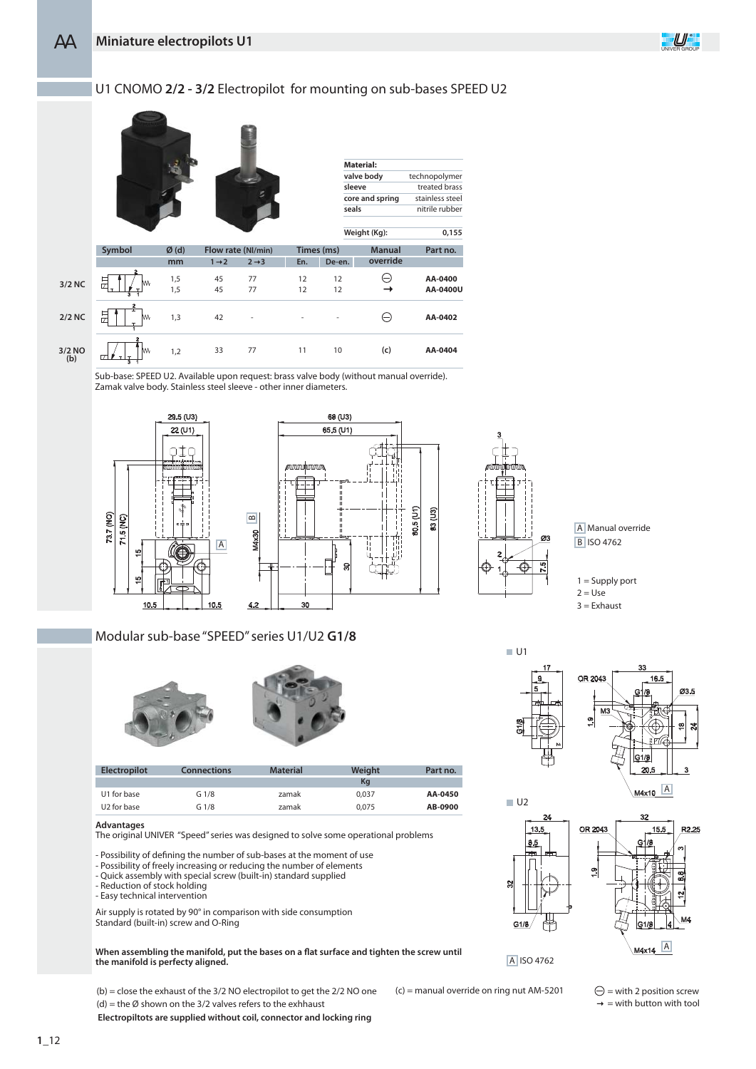### U1 CNOMO **2/2 - 3/2** Electropilot for mounting on sub-bases SPEED U2



Sub-base: SPEED U2. Available upon request: brass valve body (without manual override). Zamak valve body. Stainless steel sleeve - other inner diameters.





Modular sub-base "SPEED" series U1/U2 **G1/8**



| <b>Electropilot</b>     | <b>Connections</b> | <b>Material</b> | Weight | Part no. |
|-------------------------|--------------------|-----------------|--------|----------|
|                         |                    |                 | Kq     |          |
| U1 for base             | G 1/8              | zamak           | 0.037  | AA-0450  |
| U <sub>2</sub> for base | G 1/8              | zamak           | 0.075  | AB-0900  |

### **Advantages**

The original UNIVER "Speed" series was designed to solve some operational problems

- Possibility of defining the number of sub-bases at the moment of use

- Possibility of freely increasing or reducing the number of elements
- Quick assembly with special screw (built-in) standard supplied
- Reduction of stock holding
- Easy technical intervention

Air supply is rotated by 90° in comparison with side consumption Standard (built-in) screw and O-Ring

When assembling the manifold, put the bases on a flat surface and tighten the screw until **the manifold is perfecty aligned.**

 $(b)$  = close the exhaust of the 3/2 NO electropilot to get the 2/2 NO one (c) = manual override on ring nut AM-5201 (d) = the Ø shown on the 3/2 valves refers to the exhhaust

**Electropiltots are supplied without coil, connector and locking ring**



A Manual override **B** ISO 4762

 $1 =$  Supply port  $2 = Use$  $3 =$ Exhaust



OR 2043



A ISO 4762

 $\ominus$  = with 2 position screw  $\rightarrow$  = with button with tool

**M4x14** A

 $15.5$ 

R2.25